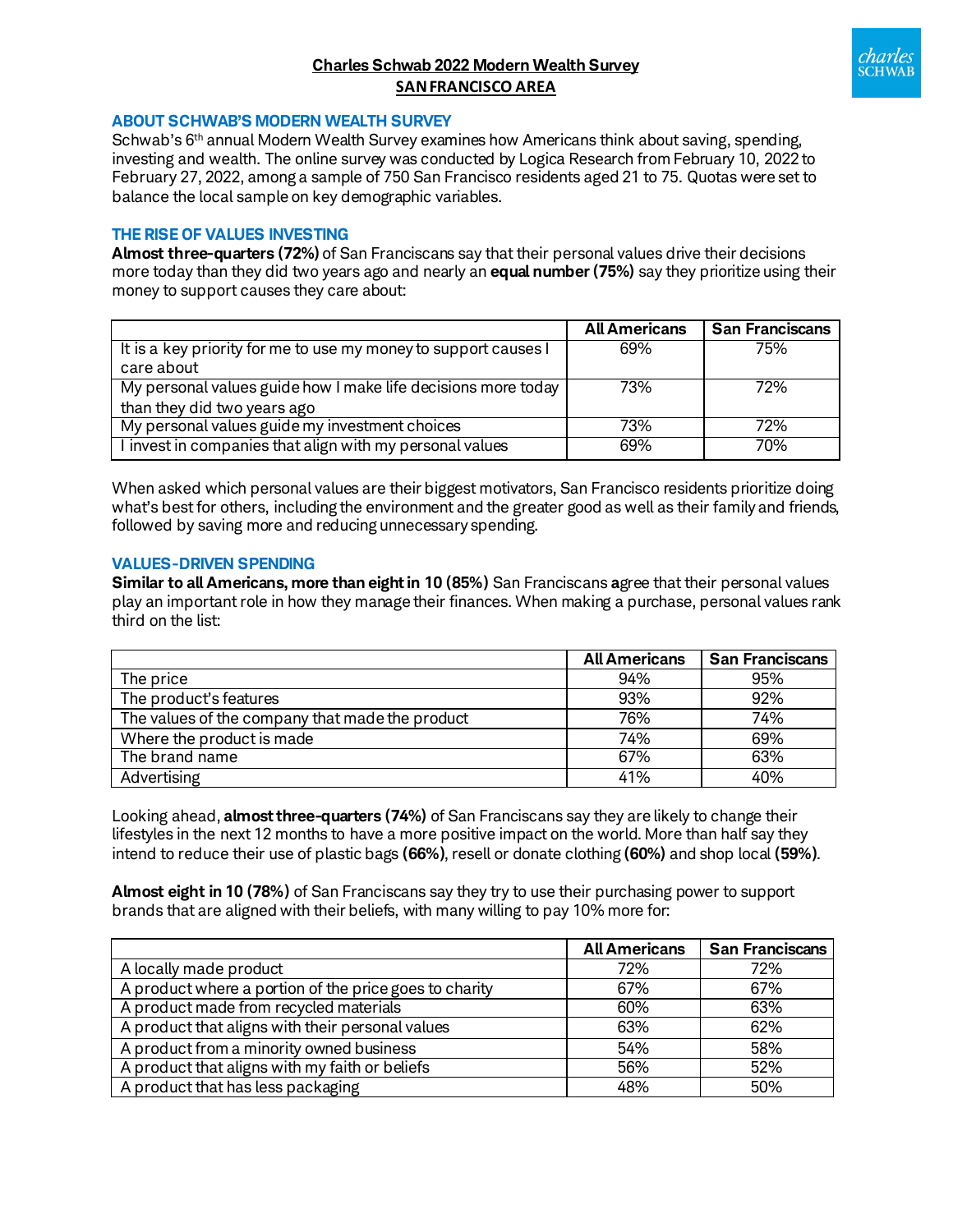# **Charles Schwab 2022 Modern Wealth Survey SAN FRANCISCO AREA**



### **ABOUT SCHWAB'S MODERN WEALTH SURVEY**

Schwab's 6<sup>th</sup> annual Modern Wealth Survey examines how Americans think about saving, spending, investing and wealth. The online survey was conducted by Logica Research from February 10, 2022 to February 27, 2022, among a sample of 750 San Francisco residents aged 21 to 75. Quotas were set to balance the local sample on key demographic variables.

## **THE RISE OF VALUES INVESTING**

**Almost three-quarters (72%)** of San Franciscans say that their personal values drive their decisions more today than they did two years ago and nearly an **equal number (75%)** say they prioritize using their money to support causes they care about:

|                                                                               | <b>All Americans</b> | <b>San Franciscans</b> |
|-------------------------------------------------------------------------------|----------------------|------------------------|
| It is a key priority for me to use my money to support causes I<br>care about | 69%                  | 75%                    |
| My personal values guide how I make life decisions more today                 | 73%                  | 72%                    |
| than they did two years ago                                                   |                      |                        |
| My personal values guide my investment choices                                | 73%                  | 72%                    |
| I invest in companies that align with my personal values                      | 69%                  | 70%                    |

When asked which personal values are their biggest motivators, San Francisco residents prioritize doing what's best for others, including the environment and the greater good as well as their family and friends, followed by saving more and reducing unnecessary spending.

### **VALUES-DRIVEN SPENDING**

**Similar to all Americans, more than eight in 10 (85%)** San Franciscans **a**gree that their personal values play an important role in how they manage their finances. When making a purchase, personal values rank third on the list:

|                                                 | <b>All Americans</b> | <b>San Franciscans</b> |
|-------------------------------------------------|----------------------|------------------------|
| The price                                       | 94%                  | 95%                    |
| The product's features                          | 93%                  | 92%                    |
| The values of the company that made the product | 76%                  | 74%                    |
| Where the product is made                       | 74%                  | 69%                    |
| The brand name                                  | 67%                  | 63%                    |
| Advertising                                     | 41%                  | 40%                    |

Looking ahead, **almost three-quarters (74%)** of San Franciscans say they are likely to change their lifestyles in the next 12 months to have a more positive impact on the world. More than half say they intend to reduce their use of plastic bags **(66%)**, resell or donate clothing **(60%)** and shop local **(59%)**.

**Almost eight in 10 (78%)** of San Franciscans say they try to use their purchasing power to support brands that are aligned with their beliefs, with many willing to pay 10% more for:

|                                                        | <b>All Americans</b> | <b>San Franciscans</b> |
|--------------------------------------------------------|----------------------|------------------------|
| A locally made product                                 | 72%                  | 72%                    |
| A product where a portion of the price goes to charity | 67%                  | 67%                    |
| A product made from recycled materials                 | 60%                  | 63%                    |
| A product that aligns with their personal values       | 63%                  | 62%                    |
| A product from a minority owned business               | 54%                  | 58%                    |
| A product that aligns with my faith or beliefs         | 56%                  | 52%                    |
| A product that has less packaging                      | 48%                  | 50%                    |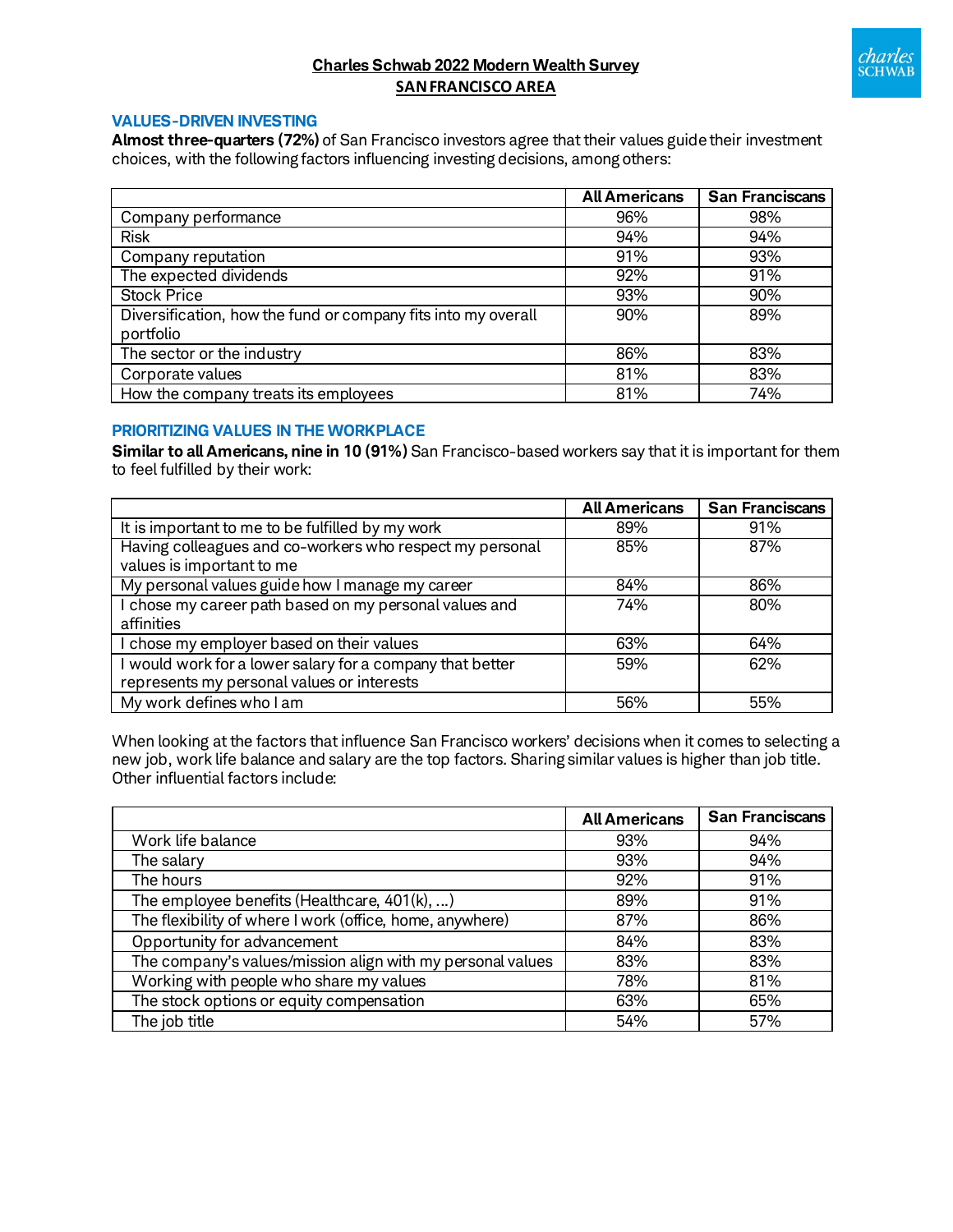

# **Charles Schwab 2022 Modern Wealth Survey SAN FRANCISCO AREA**

## **VALUES-DRIVEN INVESTING**

**Almost three-quarters (72%)** of San Francisco investors agree that their values guide their investment choices, with the following factors influencing investing decisions, among others:

|                                                                            | <b>All Americans</b> | <b>San Franciscans</b> |
|----------------------------------------------------------------------------|----------------------|------------------------|
| Company performance                                                        | 96%                  | 98%                    |
| <b>Risk</b>                                                                | 94%                  | 94%                    |
| Company reputation                                                         | 91%                  | 93%                    |
| The expected dividends                                                     | 92%                  | 91%                    |
| <b>Stock Price</b>                                                         | 93%                  | 90%                    |
| Diversification, how the fund or company fits into my overall<br>portfolio | 90%                  | 89%                    |
| The sector or the industry                                                 | 86%                  | 83%                    |
| Corporate values                                                           | 81%                  | 83%                    |
| How the company treats its employees                                       | 81%                  | 74%                    |

# **PRIORITIZING VALUES IN THE WORKPLACE**

**Similar to all Americans, nine in 10 (91%)** San Francisco-based workers say that it is important for them to feel fulfilled by their work:

|                                                           | <b>All Americans</b> | <b>San Franciscans</b> |
|-----------------------------------------------------------|----------------------|------------------------|
| It is important to me to be fulfilled by my work          | 89%                  | 91%                    |
| Having colleagues and co-workers who respect my personal  | 85%                  | 87%                    |
| values is important to me                                 |                      |                        |
| My personal values guide how I manage my career           | 84%                  | 86%                    |
| I chose my career path based on my personal values and    | 74%                  | 80%                    |
| affinities                                                |                      |                        |
| I chose my employer based on their values                 | 63%                  | 64%                    |
| I would work for a lower salary for a company that better | 59%                  | 62%                    |
| represents my personal values or interests                |                      |                        |
| My work defines who I am                                  | 56%                  | 55%                    |

When looking at the factors that influence San Francisco workers' decisions when it comes to selecting a new job, work life balance and salary are the top factors. Sharing similar values is higher than job title. Other influential factors include:

|                                                            | <b>All Americans</b> | <b>San Franciscans</b> |
|------------------------------------------------------------|----------------------|------------------------|
| Work life balance                                          | 93%                  | 94%                    |
| The salary                                                 | 93%                  | 94%                    |
| The hours                                                  | 92%                  | 91%                    |
| The employee benefits (Healthcare, 401(k), )               | 89%                  | 91%                    |
| The flexibility of where I work (office, home, anywhere)   | 87%                  | 86%                    |
| Opportunity for advancement                                | 84%                  | 83%                    |
| The company's values/mission align with my personal values | 83%                  | 83%                    |
| Working with people who share my values                    | 78%                  | 81%                    |
| The stock options or equity compensation                   | 63%                  | 65%                    |
| The job title                                              | 54%                  | 57%                    |